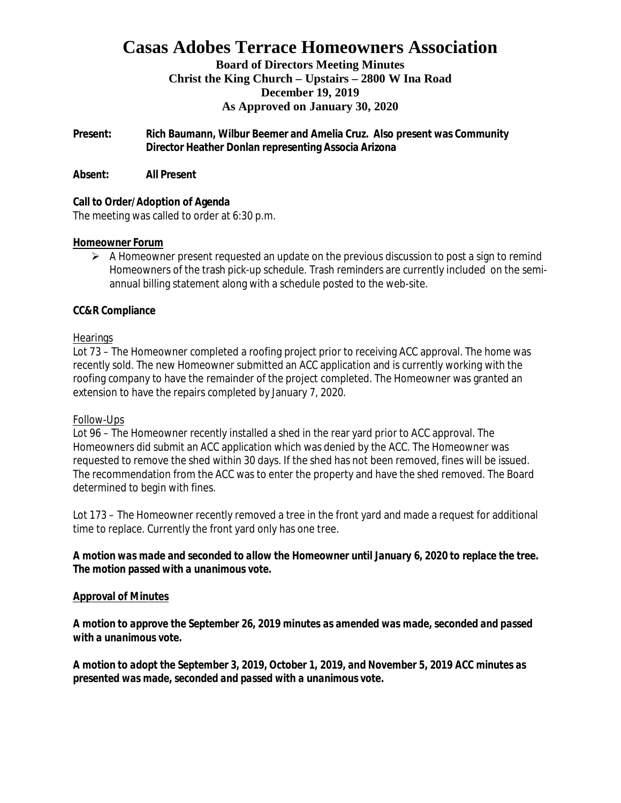# **Casas Adobes Terrace Homeowners Association**

### **Board of Directors Meeting Minutes Christ the King Church – Upstairs – 2800 W Ina Road December 19, 2019 As Approved on January 30, 2020**

**Present: Rich Baumann, Wilbur Beemer and Amelia Cruz. Also present was Community Director Heather Donlan representing Associa Arizona**

**Absent: All Present**

**Call to Order/Adoption of Agenda** The meeting was called to order at 6:30 p.m.

#### **Homeowner Forum**

 $\triangleright$  A Homeowner present requested an update on the previous discussion to post a sign to remind Homeowners of the trash pick-up schedule. Trash reminders are currently included on the semiannual billing statement along with a schedule posted to the web-site.

### **CC&R Compliance**

#### **Hearings**

Lot 73 – The Homeowner completed a roofing project prior to receiving ACC approval. The home was recently sold. The new Homeowner submitted an ACC application and is currently working with the roofing company to have the remainder of the project completed. The Homeowner was granted an extension to have the repairs completed by January 7, 2020.

#### Follow-Ups

Lot 96 – The Homeowner recently installed a shed in the rear yard prior to ACC approval. The Homeowners did submit an ACC application which was denied by the ACC. The Homeowner was requested to remove the shed within 30 days. If the shed has not been removed, fines will be issued. The recommendation from the ACC was to enter the property and have the shed removed. The Board determined to begin with fines.

Lot 173 – The Homeowner recently removed a tree in the front yard and made a request for additional time to replace. Currently the front yard only has one tree.

*A motion was made and seconded to allow the Homeowner until January 6, 2020 to replace the tree. The motion passed with a unanimous vote.*

#### **Approval of Minutes**

*A motion to approve the September 26, 2019 minutes as amended was made, seconded and passed with a unanimous vote.*

*A motion to adopt the September 3, 2019, October 1, 2019, and November 5, 2019 ACC minutes as presented was made, seconded and passed with a unanimous vote.*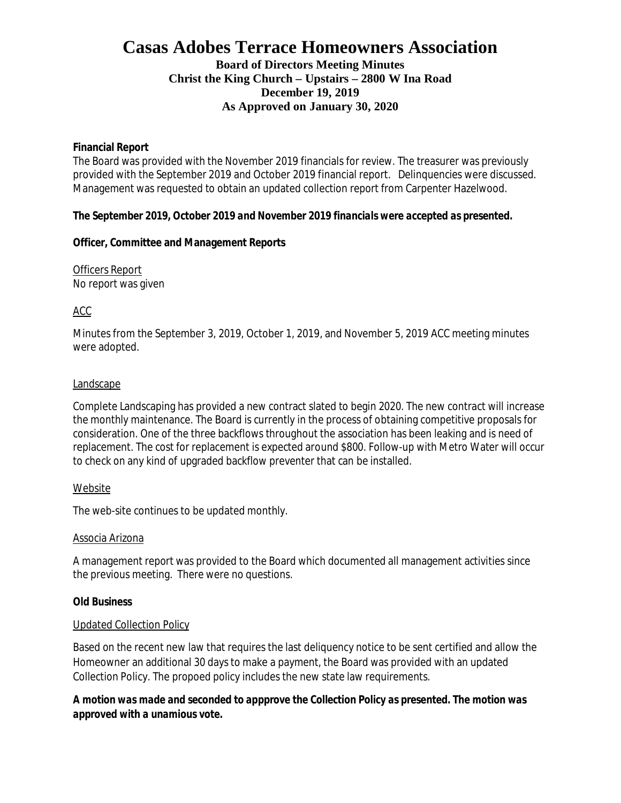# **Casas Adobes Terrace Homeowners Association Board of Directors Meeting Minutes Christ the King Church – Upstairs – 2800 W Ina Road December 19, 2019 As Approved on January 30, 2020**

**Financial Report**

The Board was provided with the November 2019 financials for review. The treasurer was previously provided with the September 2019 and October 2019 financial report. Delinquencies were discussed. Management was requested to obtain an updated collection report from Carpenter Hazelwood.

*The September 2019, October 2019 and November 2019 financials were accepted as presented.*

**Officer, Committee and Management Reports**

Officers Report No report was given

ACC

Minutes from the September 3, 2019, October 1, 2019, and November 5, 2019 ACC meeting minutes were adopted.

#### **Landscape**

Complete Landscaping has provided a new contract slated to begin 2020. The new contract will increase the monthly maintenance. The Board is currently in the process of obtaining competitive proposals for consideration. One of the three backflows throughout the association has been leaking and is need of replacement. The cost for replacement is expected around \$800. Follow-up with Metro Water will occur to check on any kind of upgraded backflow preventer that can be installed.

#### Website

The web-site continues to be updated monthly.

#### Associa Arizona

A management report was provided to the Board which documented all management activities since the previous meeting. There were no questions.

#### **Old Business**

#### Updated Collection Policy

Based on the recent new law that requires the last deliquency notice to be sent certified and allow the Homeowner an additional 30 days to make a payment, the Board was provided with an updated Collection Policy. The propoed policy includes the new state law requirements.

*A motion was made and seconded to appprove the Collection Policy as presented. The motion was approved with a unamious vote.*